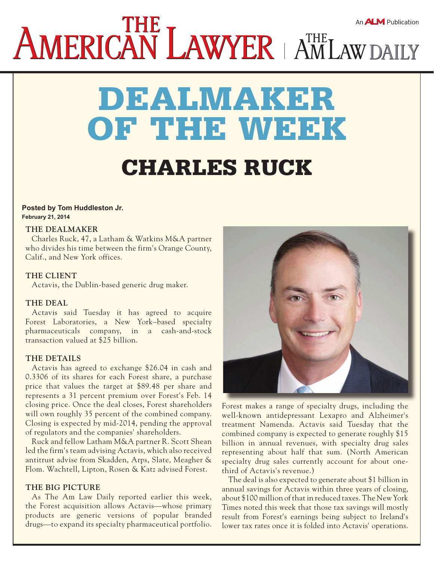# AMERICAN LAWYER | AMLAW DAILY

# dealmaker of the week charles ruck

#### **Posted by Tom Huddleston Jr. February 21, 2014**

#### **THE DEALMAKER**

Charles Ruck, 47, a Latham & Watkins M&A partner who divides his time between the firm's Orange County, Calif., and New York offices.

#### **THE CLIENT**

Actavis, the Dublin-based generic drug maker.

#### **THE DEAL**

Actavis said Tuesday it has agreed to acquire Forest Laboratories, a New York–based specialty pharmaceuticals company, in a cash-and-stock transaction valued at \$25 billion.

# **THE DETAILS**

Actavis has agreed to exchange \$26.04 in cash and 0.3306 of its shares for each Forest share, a purchase price that values the target at \$89.48 per share and represents a 31 percent premium over Forest's Feb. 14 closing price. Once the deal closes, Forest shareholders will own roughly 35 percent of the combined company. Closing is expected by mid-2014, pending the approval of regulators and the companies' shareholders.

Ruck and fellow Latham M&A partner R. Scott Shean led the firm's team advising Actavis, which also received antitrust advise from Skadden, Arps, Slate, Meagher & Flom. Wachtell, Lipton, Rosen & Katz advised Forest.

#### **THE BIG PICTURE**

As The Am Law Daily reported earlier this week, the Forest acquisition allows Actavis—whose primary products are generic versions of popular branded drugs—to expand its specialty pharmaceutical portfolio.



Forest makes a range of specialty drugs, including the well-known antidepressant Lexapro and Alzheimer's treatment Namenda. Actavis said Tuesday that the combined company is expected to generate roughly \$15 billion in annual revenues, with specialty drug sales representing about half that sum. (North American specialty drug sales currently account for about onethird of Actavis's revenue.)

The deal is also expected to generate about \$1 billion in annual savings for Actavis within three years of closing, about \$100 million of that in reduced taxes. The New York Times noted this week that those tax savings will mostly result from Forest's earnings being subject to Ireland's lower tax rates once it is folded into Actavis' operations.